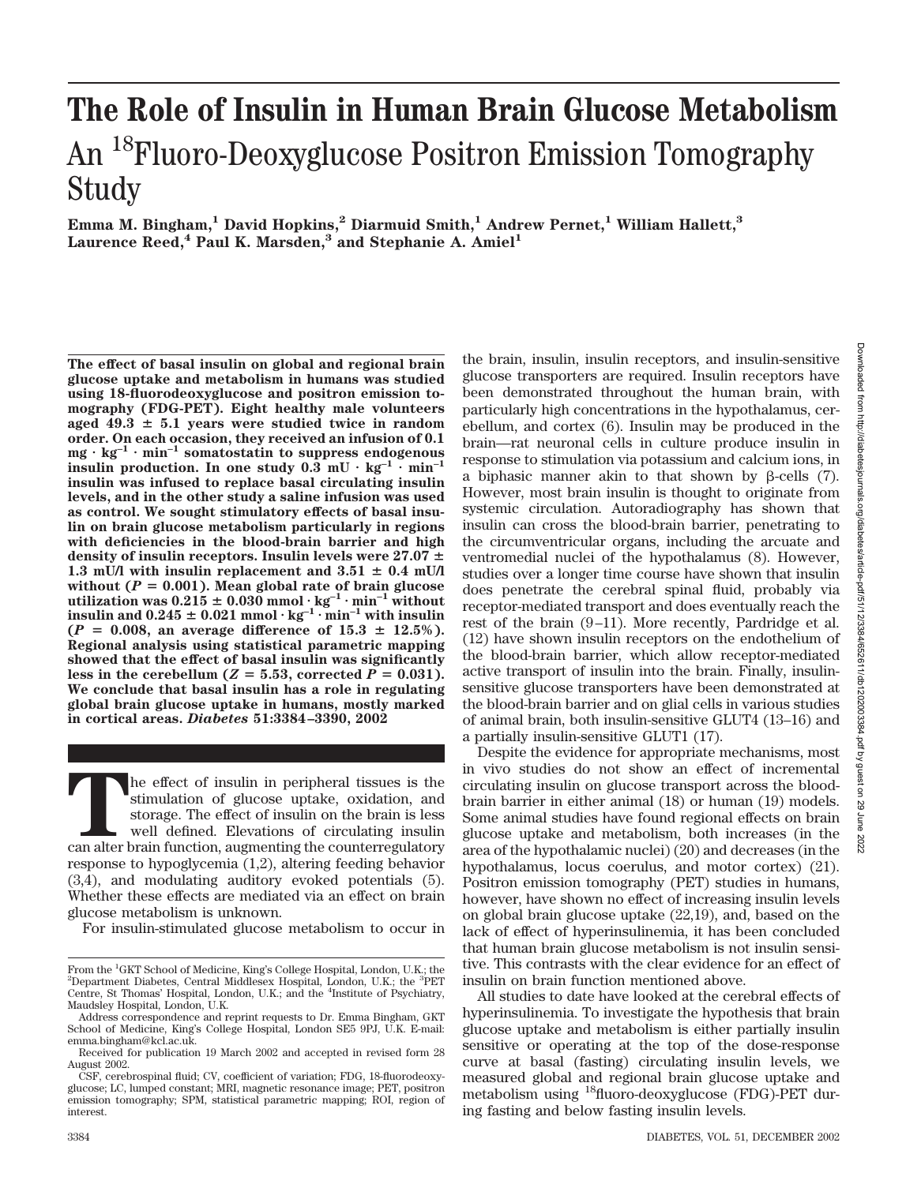# **The Role of Insulin in Human Brain Glucose Metabolism** An <sup>18</sup>Fluoro-Deoxyglucose Positron Emission Tomography Study

**Emma M. Bingham,**<sup>1</sup> **David Hopkins,**<sup>2</sup> **Diarmuid Smith,**<sup>1</sup> **Andrew Pernet,**<sup>1</sup> **William Hallett**,<sup>3</sup> Laurence Reed,<sup>4</sup> Paul K. Marsden,<sup>3</sup> and Stephanie A. Amiel<sup>1</sup>

**The effect of basal insulin on global and regional brain glucose uptake and metabolism in humans was studied using 18-fluorodeoxyglucose and positron emission tomography (FDG-PET). Eight healthy male volunteers** aged  $49.3 \pm 5.1$  years were studied twice in random **order. On each occasion, they received an infusion of 0.1**  $mg \cdot kg^{-1} \cdot min^{-1}$  **somatostatin to suppress endogenous insulin production. In one study**  $0.3 \text{ mU} \cdot \text{kg}^{-1} \cdot \text{min}^{-1}$ **insulin was infused to replace basal circulating insulin levels, and in the other study a saline infusion was used as control. We sought stimulatory effects of basal insulin on brain glucose metabolism particularly in regions with deficiencies in the blood-brain barrier and high density of insulin receptors. Insulin levels were 27.07** 1.3 mU/l with insulin replacement and  $3.51 \pm 0.4$  mU/l without  $(P = 0.001)$ . Mean global rate of brain glucose **utilization was**  $0.215 \pm 0.030$  **mmol**  $\cdot$   $kg^{-1} \cdot min^{-1}$  without  $\text{insulin and } 0.245 \pm 0.021 \text{ mmol} \cdot \text{kg}^{-1} \cdot \text{min}^{-1} \text{ with insulin}$  $(P = 0.008, \text{ an average difference of } 15.3 \pm 12.5\%).$ **Regional analysis using statistical parametric mapping showed that the effect of basal insulin was significantly** less in the cerebellum  $(Z = 5.53,$  corrected  $P = 0.031$ ). **We conclude that basal insulin has a role in regulating global brain glucose uptake in humans, mostly marked in cortical areas.** *Diabetes* **51:3384–3390, 2002**

The effect of insulin in peripheral tissues is the stimulation of glucose uptake, oxidation, and storage. The effect of insulin on the brain is less well defined. Elevations of circulating insulin can alter brain function, stimulation of glucose uptake, oxidation, and storage. The effect of insulin on the brain is less well defined. Elevations of circulating insulin response to hypoglycemia (1,2), altering feeding behavior (3,4), and modulating auditory evoked potentials (5). Whether these effects are mediated via an effect on brain glucose metabolism is unknown.

For insulin-stimulated glucose metabolism to occur in

the brain, insulin, insulin receptors, and insulin-sensitive glucose transporters are required. Insulin receptors have been demonstrated throughout the human brain, with particularly high concentrations in the hypothalamus, cerebellum, and cortex (6). Insulin may be produced in the brain—rat neuronal cells in culture produce insulin in response to stimulation via potassium and calcium ions, in a biphasic manner akin to that shown by  $\beta$ -cells (7). However, most brain insulin is thought to originate from systemic circulation. Autoradiography has shown that insulin can cross the blood-brain barrier, penetrating to the circumventricular organs, including the arcuate and ventromedial nuclei of the hypothalamus (8). However, studies over a longer time course have shown that insulin does penetrate the cerebral spinal fluid, probably via receptor-mediated transport and does eventually reach the rest of the brain (9–11). More recently, Pardridge et al. (12) have shown insulin receptors on the endothelium of the blood-brain barrier, which allow receptor-mediated active transport of insulin into the brain. Finally, insulinsensitive glucose transporters have been demonstrated at the blood-brain barrier and on glial cells in various studies of animal brain, both insulin-sensitive GLUT4 (13–16) and a partially insulin-sensitive GLUT1 (17).

Despite the evidence for appropriate mechanisms, most in vivo studies do not show an effect of incremental circulating insulin on glucose transport across the bloodbrain barrier in either animal (18) or human (19) models. Some animal studies have found regional effects on brain glucose uptake and metabolism, both increases (in the area of the hypothalamic nuclei) (20) and decreases (in the hypothalamus, locus coerulus, and motor cortex) (21). Positron emission tomography (PET) studies in humans, however, have shown no effect of increasing insulin levels on global brain glucose uptake (22,19), and, based on the lack of effect of hyperinsulinemia, it has been concluded that human brain glucose metabolism is not insulin sensitive. This contrasts with the clear evidence for an effect of insulin on brain function mentioned above.

All studies to date have looked at the cerebral effects of hyperinsulinemia. To investigate the hypothesis that brain glucose uptake and metabolism is either partially insulin sensitive or operating at the top of the dose-response curve at basal (fasting) circulating insulin levels, we measured global and regional brain glucose uptake and metabolism using 18fluoro-deoxyglucose (FDG)-PET during fasting and below fasting insulin levels.

From the <sup>1</sup>GKT School of Medicine, King's College Hospital, London, U.K.; the  ${}^{2}$ Donartmont, Diabetes, Control, Middleson, Hospital, London, U.K.; the  ${}^{3}$ DET Department Diabetes, Central Middlesex Hospital, London, U.K.; the <sup>3</sup>PET Centre, St Thomas' Hospital, London, U.K.; and the <sup>4</sup>Institute of Psychiatry, Maudsley Hospital, London, U.K.

Address correspondence and reprint requests to Dr. Emma Bingham, GKT School of Medicine, King's College Hospital, London SE5 9PJ, U.K. E-mail: emma.bingham@kcl.ac.uk.

Received for publication 19 March 2002 and accepted in revised form 28 August 2002.

CSF, cerebrospinal fluid; CV, coefficient of variation; FDG, 18-fluorodeoxyglucose; LC, lumped constant; MRI, magnetic resonance image; PET, positron emission tomography; SPM, statistical parametric mapping; ROI, region of interest.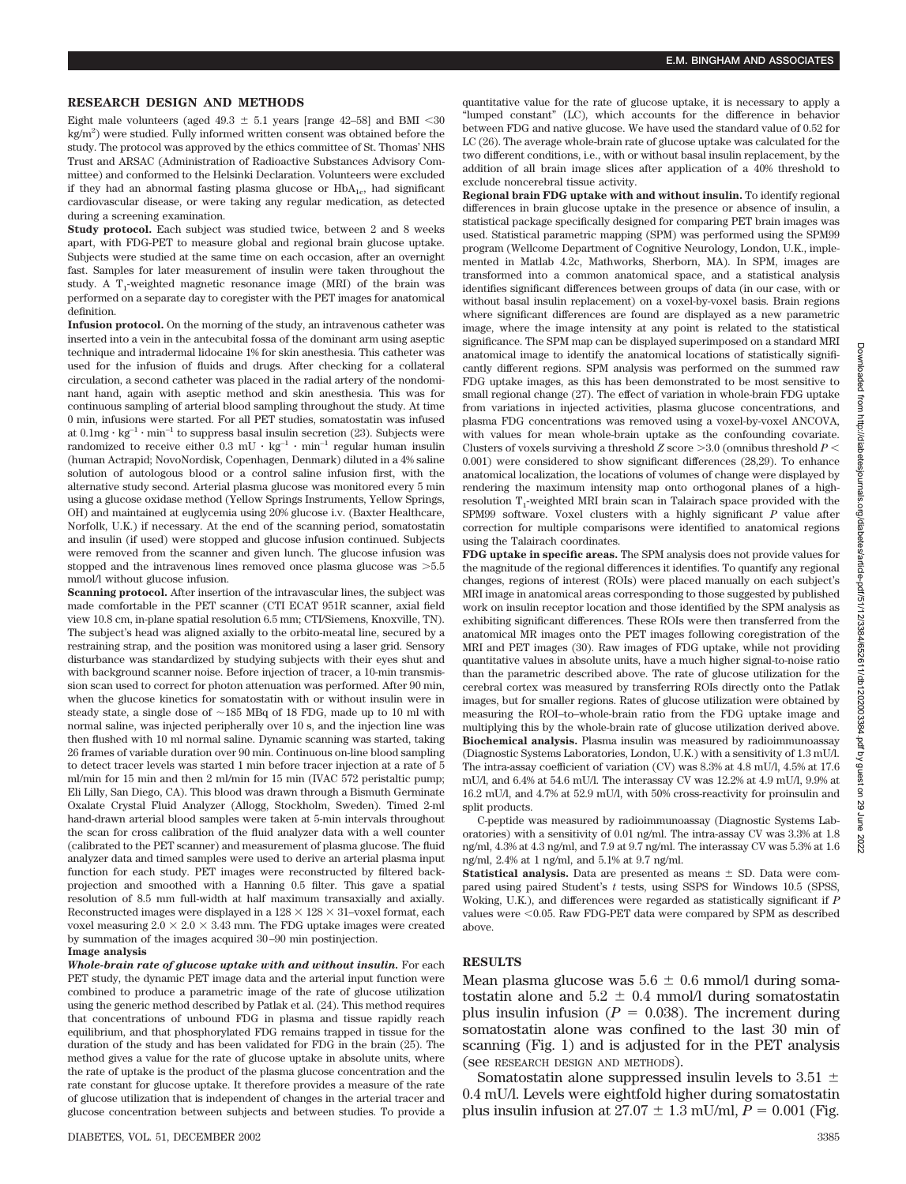## **RESEARCH DESIGN AND METHODS**

Eight male volunteers (aged  $49.3 \pm 5.1$  years [range 42-58] and BMI <30 kg/m2 ) were studied. Fully informed written consent was obtained before the study. The protocol was approved by the ethics committee of St. Thomas' NHS Trust and ARSAC (Administration of Radioactive Substances Advisory Committee) and conformed to the Helsinki Declaration. Volunteers were excluded if they had an abnormal fasting plasma glucose or  $HbA_{1c}$ , had significant cardiovascular disease, or were taking any regular medication, as detected during a screening examination.

**Study protocol.** Each subject was studied twice, between 2 and 8 weeks apart, with FDG-PET to measure global and regional brain glucose uptake. Subjects were studied at the same time on each occasion, after an overnight fast. Samples for later measurement of insulin were taken throughout the study. A T<sub>1</sub>-weighted magnetic resonance image (MRI) of the brain was performed on a separate day to coregister with the PET images for anatomical definition.

**Infusion protocol.** On the morning of the study, an intravenous catheter was inserted into a vein in the antecubital fossa of the dominant arm using aseptic technique and intradermal lidocaine 1% for skin anesthesia. This catheter was used for the infusion of fluids and drugs. After checking for a collateral circulation, a second catheter was placed in the radial artery of the nondominant hand, again with aseptic method and skin anesthesia. This was for continuous sampling of arterial blood sampling throughout the study. At time 0 min, infusions were started. For all PET studies, somatostatin was infused at  $0.1mg \cdot kg^{-1} \cdot min^{-1}$  to suppress basal insulin secretion (23). Subjects were randomized to receive either  $0.3 \text{ mU} \cdot \text{kg}^{-1} \cdot \text{min}^{-1}$  regular human insulin (human Actrapid; NovoNordisk, Copenhagen, Denmark) diluted in a 4% saline solution of autologous blood or a control saline infusion first, with the alternative study second. Arterial plasma glucose was monitored every 5 min using a glucose oxidase method (Yellow Springs Instruments, Yellow Springs, OH) and maintained at euglycemia using 20% glucose i.v. (Baxter Healthcare, Norfolk, U.K.) if necessary. At the end of the scanning period, somatostatin and insulin (if used) were stopped and glucose infusion continued. Subjects were removed from the scanner and given lunch. The glucose infusion was stopped and the intravenous lines removed once plasma glucose was  $>5.5$ mmol/l without glucose infusion.

**Scanning protocol.** After insertion of the intravascular lines, the subject was made comfortable in the PET scanner (CTI ECAT 951R scanner, axial field view 10.8 cm, in-plane spatial resolution 6.5 mm; CTI/Siemens, Knoxville, TN). The subject's head was aligned axially to the orbito-meatal line, secured by a restraining strap, and the position was monitored using a laser grid. Sensory disturbance was standardized by studying subjects with their eyes shut and with background scanner noise. Before injection of tracer, a 10-min transmission scan used to correct for photon attenuation was performed. After 90 min, when the glucose kinetics for somatostatin with or without insulin were in steady state, a single dose of  $\sim$ 185 MBq of 18 FDG, made up to 10 ml with normal saline, was injected peripherally over 10 s, and the injection line was then flushed with 10 ml normal saline. Dynamic scanning was started, taking 26 frames of variable duration over 90 min. Continuous on-line blood sampling to detect tracer levels was started 1 min before tracer injection at a rate of 5 ml/min for 15 min and then 2 ml/min for 15 min (IVAC 572 peristaltic pump; Eli Lilly, San Diego, CA). This blood was drawn through a Bismuth Germinate Oxalate Crystal Fluid Analyzer (Allogg, Stockholm, Sweden). Timed 2-ml hand-drawn arterial blood samples were taken at 5-min intervals throughout the scan for cross calibration of the fluid analyzer data with a well counter (calibrated to the PET scanner) and measurement of plasma glucose. The fluid analyzer data and timed samples were used to derive an arterial plasma input function for each study. PET images were reconstructed by filtered backprojection and smoothed with a Hanning 0.5 filter. This gave a spatial resolution of 8.5 mm full-width at half maximum transaxially and axially. Reconstructed images were displayed in a  $128 \times 128 \times 31$ –voxel format, each voxel measuring  $2.0 \times 2.0 \times 3.43$  mm. The FDG uptake images were created by summation of the images acquired 30–90 min postinjection. **Image analysis**

*Whole-brain rate of glucose uptake with and without insulin.* For each PET study, the dynamic PET image data and the arterial input function were combined to produce a parametric image of the rate of glucose utilization using the generic method described by Patlak et al. (24). This method requires that concentrations of unbound FDG in plasma and tissue rapidly reach equilibrium, and that phosphorylated FDG remains trapped in tissue for the duration of the study and has been validated for FDG in the brain (25). The method gives a value for the rate of glucose uptake in absolute units, where the rate of uptake is the product of the plasma glucose concentration and the rate constant for glucose uptake. It therefore provides a measure of the rate of glucose utilization that is independent of changes in the arterial tracer and glucose concentration between subjects and between studies. To provide a quantitative value for the rate of glucose uptake, it is necessary to apply a "lumped constant" (LC), which accounts for the difference in behavior between FDG and native glucose. We have used the standard value of 0.52 for LC (26). The average whole-brain rate of glucose uptake was calculated for the two different conditions, i.e., with or without basal insulin replacement, by the addition of all brain image slices after application of a 40% threshold to exclude noncerebral tissue activity.

**Regional brain FDG uptake with and without insulin.** To identify regional differences in brain glucose uptake in the presence or absence of insulin, a statistical package specifically designed for comparing PET brain images was used. Statistical parametric mapping (SPM) was performed using the SPM99 program (Wellcome Department of Cognitive Neurology, London, U.K., implemented in Matlab 4.2c, Mathworks, Sherborn, MA). In SPM, images are transformed into a common anatomical space, and a statistical analysis identifies significant differences between groups of data (in our case, with or without basal insulin replacement) on a voxel-by-voxel basis. Brain regions where significant differences are found are displayed as a new parametric image, where the image intensity at any point is related to the statistical significance. The SPM map can be displayed superimposed on a standard MRI anatomical image to identify the anatomical locations of statistically significantly different regions. SPM analysis was performed on the summed raw FDG uptake images, as this has been demonstrated to be most sensitive to small regional change (27). The effect of variation in whole-brain FDG uptake from variations in injected activities, plasma glucose concentrations, and plasma FDG concentrations was removed using a voxel-by-voxel ANCOVA, with values for mean whole-brain uptake as the confounding covariate. Clusters of voxels surviving a threshold  $Z$  score  $>$  3.0 (omnibus threshold  $P$  < 0.001) were considered to show significant differences (28,29). To enhance anatomical localization, the locations of volumes of change were displayed by rendering the maximum intensity map onto orthogonal planes of a highresolution T<sub>1</sub>-weighted MRI brain scan in Talairach space provided with the SPM99 software. Voxel clusters with a highly significant *P* value after correction for multiple comparisons were identified to anatomical regions using the Talairach coordinates.

**FDG uptake in specific areas.** The SPM analysis does not provide values for the magnitude of the regional differences it identifies. To quantify any regional changes, regions of interest (ROIs) were placed manually on each subject's MRI image in anatomical areas corresponding to those suggested by published work on insulin receptor location and those identified by the SPM analysis as exhibiting significant differences. These ROIs were then transferred from the anatomical MR images onto the PET images following coregistration of the MRI and PET images (30). Raw images of FDG uptake, while not providing quantitative values in absolute units, have a much higher signal-to-noise ratio than the parametric described above. The rate of glucose utilization for the cerebral cortex was measured by transferring ROIs directly onto the Patlak images, but for smaller regions. Rates of glucose utilization were obtained by measuring the ROI–to–whole-brain ratio from the FDG uptake image and multiplying this by the whole-brain rate of glucose utilization derived above. **Biochemical analysis.** Plasma insulin was measured by radioimmunoassay (Diagnostic Systems Laboratories, London, U.K.) with a sensitivity of 1.3 mU/l. The intra-assay coefficient of variation (CV) was 8.3% at 4.8 mU/l, 4.5% at 17.6 mU/l, and 6.4% at 54.6 mU/l. The interassay CV was 12.2% at 4.9 mU/l, 9.9% at 16.2 mU/l, and 4.7% at 52.9 mU/l, with 50% cross-reactivity for proinsulin and split products.

C-peptide was measured by radioimmunoassay (Diagnostic Systems Laboratories) with a sensitivity of 0.01 ng/ml. The intra-assay CV was 3.3% at 1.8 ng/ml, 4.3% at 4.3 ng/ml, and 7.9 at 9.7 ng/ml. The interassay CV was 5.3% at 1.6 ng/ml, 2.4% at 1 ng/ml, and 5.1% at 9.7 ng/ml.

**Statistical analysis.** Data are presented as means  $\pm$  SD. Data were compared using paired Student's *t* tests, using SSPS for Windows 10.5 (SPSS, Woking, U.K.), and differences were regarded as statistically significant if *P* values were  $\leq 0.05$ . Raw FDG-PET data were compared by SPM as described above.

#### **RESULTS**

Mean plasma glucose was  $5.6 \pm 0.6$  mmol/l during somatostatin alone and  $5.2 \pm 0.4$  mmol/l during somatostatin plus insulin infusion  $(P = 0.038)$ . The increment during somatostatin alone was confined to the last 30 min of scanning (Fig. 1) and is adjusted for in the PET analysis (see RESEARCH DESIGN AND METHODS).

Somatostatin alone suppressed insulin levels to 3.51  $\pm$ 0.4 mU/l. Levels were eightfold higher during somatostatin plus insulin infusion at  $27.07 \pm 1.3$  mU/ml,  $P = 0.001$  (Fig.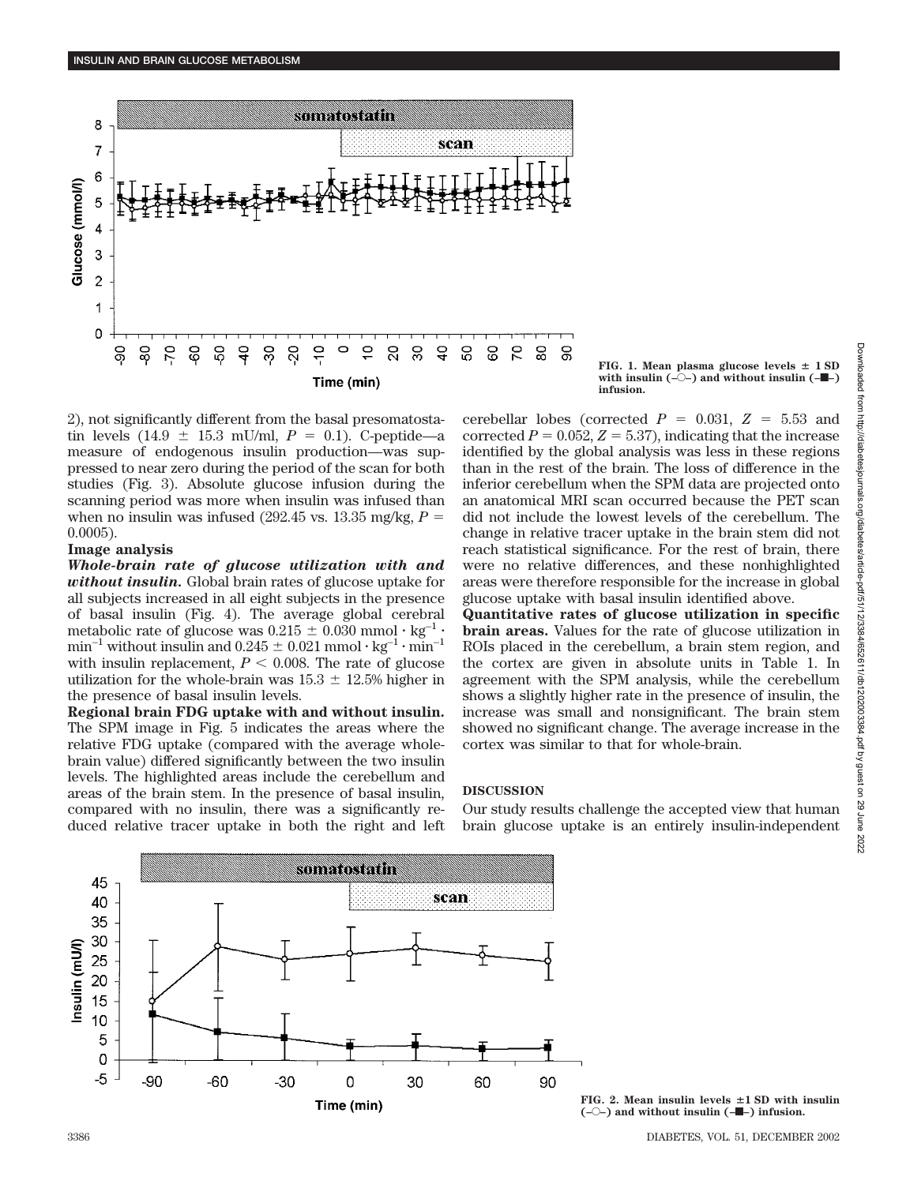

**FIG. 1. Mean plasma glucose levels 1 SD with insulin (–** $\bar{O}$ **–) and without insulin (–** $\bar{F}$ **–) infusion.**

2), not significantly different from the basal presomatostatin levels  $(14.9 \pm 15.3 \text{ mU/ml}, P = 0.1)$ . C-peptide—a measure of endogenous insulin production—was suppressed to near zero during the period of the scan for both studies (Fig. 3). Absolute glucose infusion during the scanning period was more when insulin was infused than when no insulin was infused (292.45 vs. 13.35 mg/kg,  $P =$ 0.0005).

# **Image analysis**

*Whole-brain rate of glucose utilization with and without insulin.* Global brain rates of glucose uptake for all subjects increased in all eight subjects in the presence of basal insulin (Fig. 4). The average global cerebral metabolic rate of glucose was  $0.215 \pm 0.030$  mmol  $\cdot$  kg<sup>-1</sup>  $\cdot$  $min^{-1}$  without insulin and  $0.245 \pm 0.021$  mmol  $\cdot$  kg<sup>-1</sup>  $\cdot$  min<sup>-1</sup> with insulin replacement,  $P < 0.008$ . The rate of glucose utilization for the whole-brain was  $15.3 \pm 12.5\%$  higher in the presence of basal insulin levels.

**Regional brain FDG uptake with and without insulin.** The SPM image in Fig. 5 indicates the areas where the relative FDG uptake (compared with the average wholebrain value) differed significantly between the two insulin levels. The highlighted areas include the cerebellum and areas of the brain stem. In the presence of basal insulin, compared with no insulin, there was a significantly reduced relative tracer uptake in both the right and left cerebellar lobes (corrected  $P = 0.031$ ,  $Z = 5.53$  and corrected  $P = 0.052$ ,  $Z = 5.37$ , indicating that the increase identified by the global analysis was less in these regions than in the rest of the brain. The loss of difference in the inferior cerebellum when the SPM data are projected onto an anatomical MRI scan occurred because the PET scan did not include the lowest levels of the cerebellum. The change in relative tracer uptake in the brain stem did not reach statistical significance. For the rest of brain, there were no relative differences, and these nonhighlighted areas were therefore responsible for the increase in global glucose uptake with basal insulin identified above.

**Quantitative rates of glucose utilization in specific brain areas.** Values for the rate of glucose utilization in ROIs placed in the cerebellum, a brain stem region, and the cortex are given in absolute units in Table 1. In agreement with the SPM analysis, while the cerebellum shows a slightly higher rate in the presence of insulin, the increase was small and nonsignificant. The brain stem showed no significant change. The average increase in the cortex was similar to that for whole-brain.

# **DISCUSSION**

Our study results challenge the accepted view that human brain glucose uptake is an entirely insulin-independent



**FIG. 2. Mean insulin levels 1 SD with insulin (–**E**–) and without insulin (–**f**–) infusion.**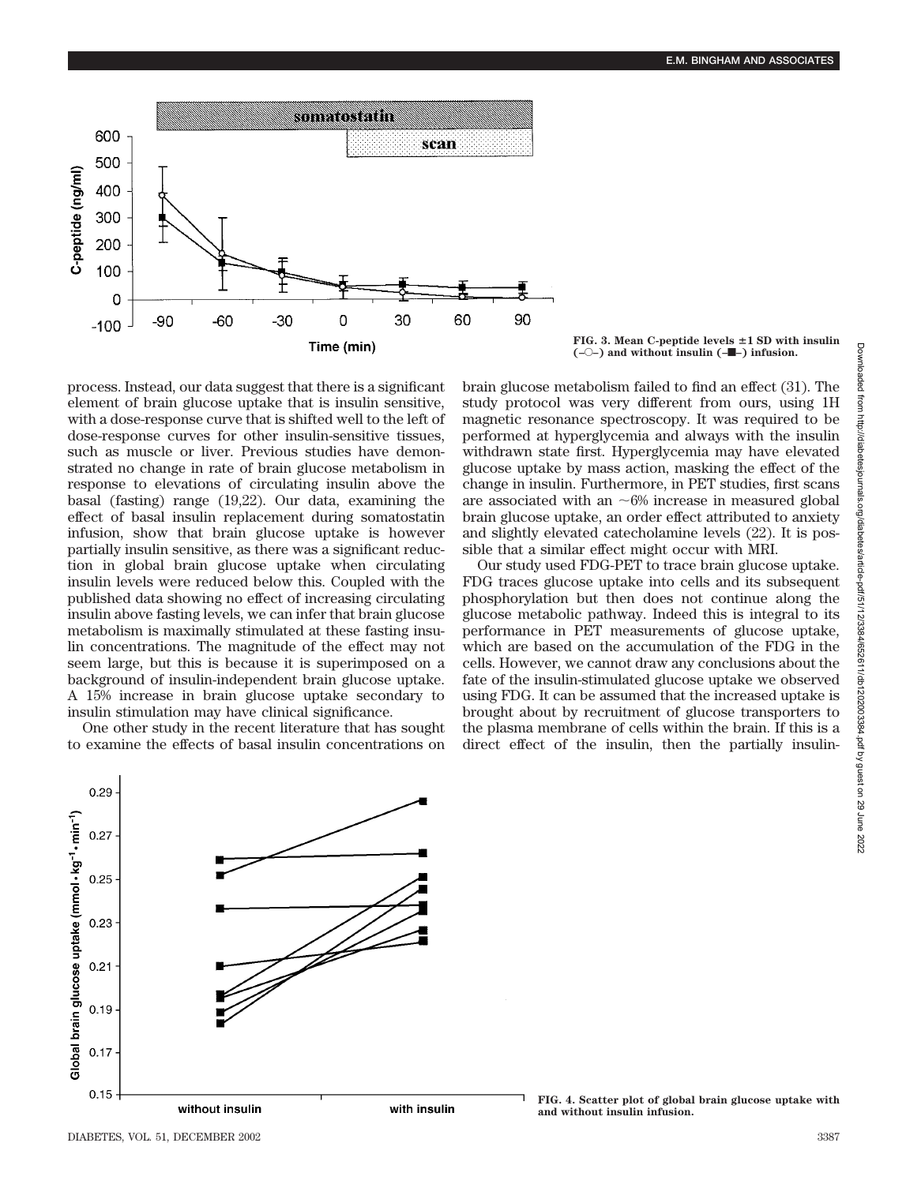

**FIG. 3. Mean C-peptide levels 1 SD with insulin**  $(-\Box)$  and without insulin  $(-\Box)$  infusion.

process. Instead, our data suggest that there is a significant element of brain glucose uptake that is insulin sensitive, with a dose-response curve that is shifted well to the left of dose-response curves for other insulin-sensitive tissues, such as muscle or liver. Previous studies have demonstrated no change in rate of brain glucose metabolism in response to elevations of circulating insulin above the basal (fasting) range (19,22). Our data, examining the effect of basal insulin replacement during somatostatin infusion, show that brain glucose uptake is however partially insulin sensitive, as there was a significant reduction in global brain glucose uptake when circulating insulin levels were reduced below this. Coupled with the published data showing no effect of increasing circulating insulin above fasting levels, we can infer that brain glucose metabolism is maximally stimulated at these fasting insulin concentrations. The magnitude of the effect may not seem large, but this is because it is superimposed on a background of insulin-independent brain glucose uptake. A 15% increase in brain glucose uptake secondary to insulin stimulation may have clinical significance.

One other study in the recent literature that has sought to examine the effects of basal insulin concentrations on

brain glucose metabolism failed to find an effect (31). The study protocol was very different from ours, using 1H magnetic resonance spectroscopy. It was required to be performed at hyperglycemia and always with the insulin withdrawn state first. Hyperglycemia may have elevated glucose uptake by mass action, masking the effect of the change in insulin. Furthermore, in PET studies, first scans are associated with an  $~6\%$  increase in measured global brain glucose uptake, an order effect attributed to anxiety and slightly elevated catecholamine levels (22). It is possible that a similar effect might occur with MRI.

Our study used FDG-PET to trace brain glucose uptake. FDG traces glucose uptake into cells and its subsequent phosphorylation but then does not continue along the glucose metabolic pathway. Indeed this is integral to its performance in PET measurements of glucose uptake, which are based on the accumulation of the FDG in the cells. However, we cannot draw any conclusions about the fate of the insulin-stimulated glucose uptake we observed using FDG. It can be assumed that the increased uptake is brought about by recruitment of glucose transporters to the plasma membrane of cells within the brain. If this is a direct effect of the insulin, then the partially insulin-



**FIG. 4. Scatter plot of global brain glucose uptake with and without insulin infusion.**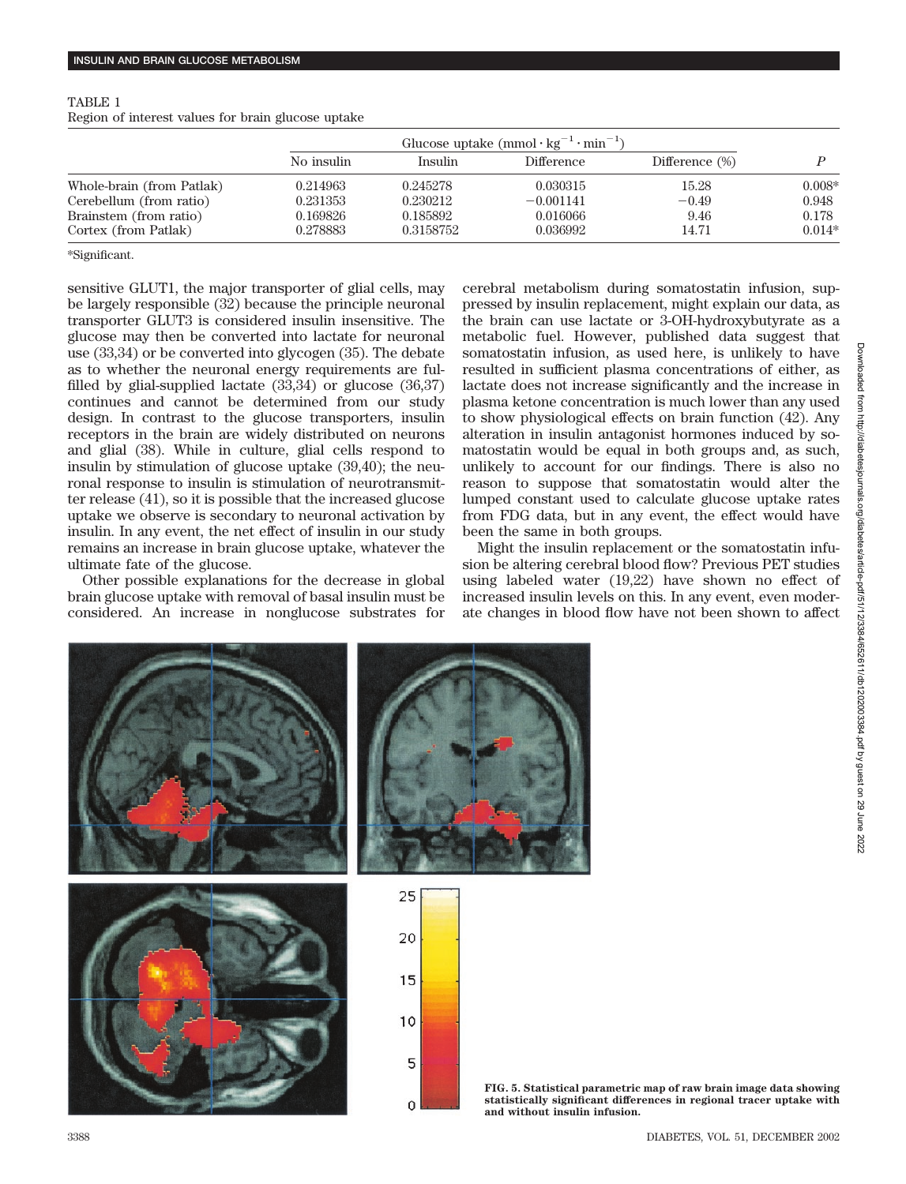#### TABLE 1

Region of interest values for brain glucose uptake

|                           | Glucose uptake $(mmol \cdot kg^{-1} \cdot min^{-1})$ |                |             |                   |          |
|---------------------------|------------------------------------------------------|----------------|-------------|-------------------|----------|
|                           | No insulin                                           | <b>Insulin</b> | Difference  | Difference $(\%)$ |          |
| Whole-brain (from Patlak) | 0.214963                                             | 0.245278       | 0.030315    | 15.28             | $0.008*$ |
| Cerebellum (from ratio)   | 0.231353                                             | 0.230212       | $-0.001141$ | $-0.49$           | 0.948    |
| Brainstem (from ratio)    | 0.169826                                             | 0.185892       | 0.016066    | 9.46              | 0.178    |
| Cortex (from Patlak)      | 0.278883                                             | 0.3158752      | 0.036992    | 14.71             | $0.014*$ |

\*Significant.

sensitive GLUT1, the major transporter of glial cells, may be largely responsible (32) because the principle neuronal transporter GLUT3 is considered insulin insensitive. The glucose may then be converted into lactate for neuronal use (33,34) or be converted into glycogen (35). The debate as to whether the neuronal energy requirements are fulfilled by glial-supplied lactate (33,34) or glucose (36,37) continues and cannot be determined from our study design. In contrast to the glucose transporters, insulin receptors in the brain are widely distributed on neurons and glial (38). While in culture, glial cells respond to insulin by stimulation of glucose uptake (39,40); the neuronal response to insulin is stimulation of neurotransmitter release (41), so it is possible that the increased glucose uptake we observe is secondary to neuronal activation by insulin. In any event, the net effect of insulin in our study remains an increase in brain glucose uptake, whatever the ultimate fate of the glucose.

Other possible explanations for the decrease in global brain glucose uptake with removal of basal insulin must be considered. An increase in nonglucose substrates for cerebral metabolism during somatostatin infusion, suppressed by insulin replacement, might explain our data, as the brain can use lactate or 3-OH-hydroxybutyrate as a metabolic fuel. However, published data suggest that somatostatin infusion, as used here, is unlikely to have resulted in sufficient plasma concentrations of either, as lactate does not increase significantly and the increase in plasma ketone concentration is much lower than any used to show physiological effects on brain function (42). Any alteration in insulin antagonist hormones induced by somatostatin would be equal in both groups and, as such, unlikely to account for our findings. There is also no reason to suppose that somatostatin would alter the lumped constant used to calculate glucose uptake rates from FDG data, but in any event, the effect would have been the same in both groups.

Might the insulin replacement or the somatostatin infusion be altering cerebral blood flow? Previous PET studies using labeled water (19,22) have shown no effect of increased insulin levels on this. In any event, even moderate changes in blood flow have not been shown to affect



**FIG. 5. Statistical parametric map of raw brain image data showing statistically significant differences in regional tracer uptake with and without insulin infusion.**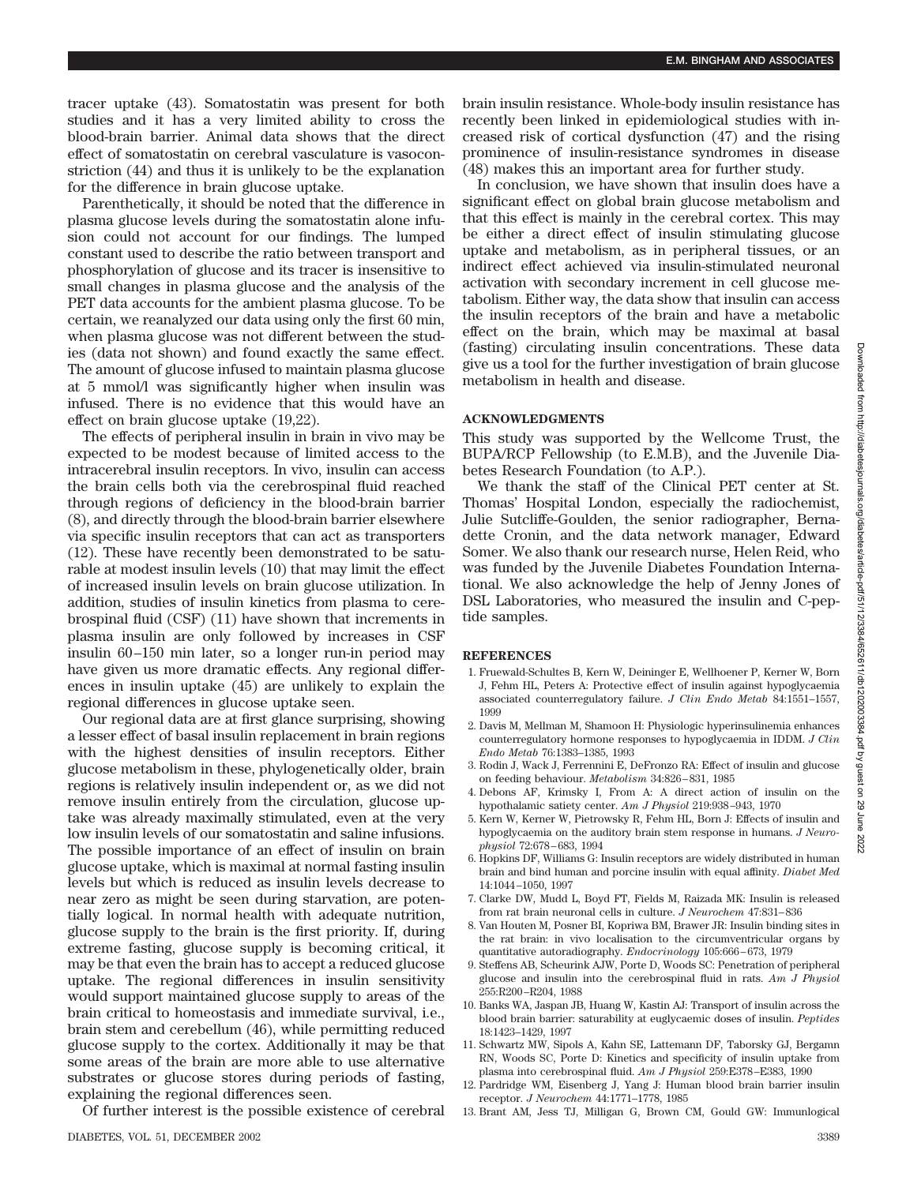tracer uptake (43). Somatostatin was present for both studies and it has a very limited ability to cross the blood-brain barrier. Animal data shows that the direct effect of somatostatin on cerebral vasculature is vasoconstriction (44) and thus it is unlikely to be the explanation for the difference in brain glucose uptake.

Parenthetically, it should be noted that the difference in plasma glucose levels during the somatostatin alone infusion could not account for our findings. The lumped constant used to describe the ratio between transport and phosphorylation of glucose and its tracer is insensitive to small changes in plasma glucose and the analysis of the PET data accounts for the ambient plasma glucose. To be certain, we reanalyzed our data using only the first 60 min, when plasma glucose was not different between the studies (data not shown) and found exactly the same effect. The amount of glucose infused to maintain plasma glucose at 5 mmol/l was significantly higher when insulin was infused. There is no evidence that this would have an effect on brain glucose uptake (19,22).

The effects of peripheral insulin in brain in vivo may be expected to be modest because of limited access to the intracerebral insulin receptors. In vivo, insulin can access the brain cells both via the cerebrospinal fluid reached through regions of deficiency in the blood-brain barrier (8), and directly through the blood-brain barrier elsewhere via specific insulin receptors that can act as transporters (12). These have recently been demonstrated to be saturable at modest insulin levels (10) that may limit the effect of increased insulin levels on brain glucose utilization. In addition, studies of insulin kinetics from plasma to cerebrospinal fluid (CSF) (11) have shown that increments in plasma insulin are only followed by increases in CSF insulin 60–150 min later, so a longer run-in period may have given us more dramatic effects. Any regional differences in insulin uptake (45) are unlikely to explain the regional differences in glucose uptake seen.

Our regional data are at first glance surprising, showing a lesser effect of basal insulin replacement in brain regions with the highest densities of insulin receptors. Either glucose metabolism in these, phylogenetically older, brain regions is relatively insulin independent or, as we did not remove insulin entirely from the circulation, glucose uptake was already maximally stimulated, even at the very low insulin levels of our somatostatin and saline infusions. The possible importance of an effect of insulin on brain glucose uptake, which is maximal at normal fasting insulin levels but which is reduced as insulin levels decrease to near zero as might be seen during starvation, are potentially logical. In normal health with adequate nutrition, glucose supply to the brain is the first priority. If, during extreme fasting, glucose supply is becoming critical, it may be that even the brain has to accept a reduced glucose uptake. The regional differences in insulin sensitivity would support maintained glucose supply to areas of the brain critical to homeostasis and immediate survival, i.e., brain stem and cerebellum (46), while permitting reduced glucose supply to the cortex. Additionally it may be that some areas of the brain are more able to use alternative substrates or glucose stores during periods of fasting, explaining the regional differences seen.

Of further interest is the possible existence of cerebral

brain insulin resistance. Whole-body insulin resistance has recently been linked in epidemiological studies with increased risk of cortical dysfunction (47) and the rising prominence of insulin-resistance syndromes in disease (48) makes this an important area for further study.

In conclusion, we have shown that insulin does have a significant effect on global brain glucose metabolism and that this effect is mainly in the cerebral cortex. This may be either a direct effect of insulin stimulating glucose uptake and metabolism, as in peripheral tissues, or an indirect effect achieved via insulin-stimulated neuronal activation with secondary increment in cell glucose metabolism. Either way, the data show that insulin can access the insulin receptors of the brain and have a metabolic effect on the brain, which may be maximal at basal (fasting) circulating insulin concentrations. These data give us a tool for the further investigation of brain glucose metabolism in health and disease.

#### **ACKNOWLEDGMENTS**

This study was supported by the Wellcome Trust, the BUPA/RCP Fellowship (to E.M.B), and the Juvenile Diabetes Research Foundation (to A.P.).

We thank the staff of the Clinical PET center at St. Thomas' Hospital London, especially the radiochemist, Julie Sutcliffe-Goulden, the senior radiographer, Bernadette Cronin, and the data network manager, Edward Somer. We also thank our research nurse, Helen Reid, who was funded by the Juvenile Diabetes Foundation International. We also acknowledge the help of Jenny Jones of DSL Laboratories, who measured the insulin and C-peptide samples.

#### **REFERENCES**

- 1. Fruewald-Schultes B, Kern W, Deininger E, Wellhoener P, Kerner W, Born J, Fehm HL, Peters A: Protective effect of insulin against hypoglycaemia associated counterregulatory failure. *J Clin Endo Metab* 84:1551–1557, 1999
- 2. Davis M, Mellman M, Shamoon H: Physiologic hyperinsulinemia enhances counterregulatory hormone responses to hypoglycaemia in IDDM. *J Clin Endo Metab* 76:1383–1385, 1993
- 3. Rodin J, Wack J, Ferrennini E, DeFronzo RA: Effect of insulin and glucose on feeding behaviour. *Metabolism* 34:826–831, 1985
- 4. Debons AF, Krimsky I, From A: A direct action of insulin on the hypothalamic satiety center. *Am J Physiol* 219:938–943, 1970
- 5. Kern W, Kerner W, Pietrowsky R, Fehm HL, Born J: Effects of insulin and hypoglycaemia on the auditory brain stem response in humans. *J Neurophysiol* 72:678–683, 1994
- 6. Hopkins DF, Williams G: Insulin receptors are widely distributed in human brain and bind human and porcine insulin with equal affinity. *Diabet Med* 14:1044–1050, 1997
- 7. Clarke DW, Mudd L, Boyd FT, Fields M, Raizada MK: Insulin is released from rat brain neuronal cells in culture. *J Neurochem* 47:831–836
- 8. Van Houten M, Posner BI, Kopriwa BM, Brawer JR: Insulin binding sites in the rat brain: in vivo localisation to the circumventricular organs by quantitative autoradiography. *Endocrinology* 105:666–673, 1979
- 9. Steffens AB, Scheurink AJW, Porte D, Woods SC: Penetration of peripheral glucose and insulin into the cerebrospinal fluid in rats. *Am J Physiol* 255:R200–R204, 1988
- 10. Banks WA, Jaspan JB, Huang W, Kastin AJ: Transport of insulin across the blood brain barrier: saturability at euglycaemic doses of insulin. *Peptides* 18:1423–1429, 1997
- 11. Schwartz MW, Sipols A, Kahn SE, Lattemann DF, Taborsky GJ, Bergamn RN, Woods SC, Porte D: Kinetics and specificity of insulin uptake from plasma into cerebrospinal fluid. *Am J Physiol* 259:E378–E383, 1990
- 12. Pardridge WM, Eisenberg J, Yang J: Human blood brain barrier insulin receptor. *J Neurochem* 44:1771–1778, 1985
- 13. Brant AM, Jess TJ, Milligan G, Brown CM, Gould GW: Immunlogical